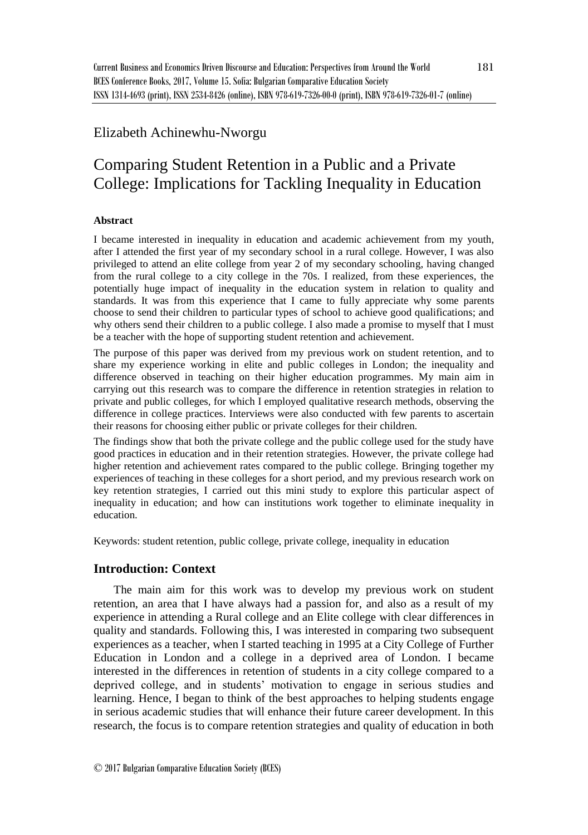# Elizabeth Achinewhu-Nworgu

# Comparing Student Retention in a Public and a Private College: Implications for Tackling Inequality in Education

### **Abstract**

I became interested in inequality in education and academic achievement from my youth, after I attended the first year of my secondary school in a rural college. However, I was also privileged to attend an elite college from year 2 of my secondary schooling, having changed from the rural college to a city college in the 70s. I realized, from these experiences, the potentially huge impact of inequality in the education system in relation to quality and standards. It was from this experience that I came to fully appreciate why some parents choose to send their children to particular types of school to achieve good qualifications; and why others send their children to a public college. I also made a promise to myself that I must be a teacher with the hope of supporting student retention and achievement.

The purpose of this paper was derived from my previous work on student retention, and to share my experience working in elite and public colleges in London; the inequality and difference observed in teaching on their higher education programmes. My main aim in carrying out this research was to compare the difference in retention strategies in relation to private and public colleges, for which I employed qualitative research methods, observing the difference in college practices. Interviews were also conducted with few parents to ascertain their reasons for choosing either public or private colleges for their children.

The findings show that both the private college and the public college used for the study have good practices in education and in their retention strategies. However, the private college had higher retention and achievement rates compared to the public college. Bringing together my experiences of teaching in these colleges for a short period, and my previous research work on key retention strategies, I carried out this mini study to explore this particular aspect of inequality in education; and how can institutions work together to eliminate inequality in education.

Keywords: student retention, public college, private college, inequality in education

## **Introduction: Context**

The main aim for this work was to develop my previous work on student retention, an area that I have always had a passion for, and also as a result of my experience in attending a Rural college and an Elite college with clear differences in quality and standards. Following this, I was interested in comparing two subsequent experiences as a teacher, when I started teaching in 1995 at a City College of Further Education in London and a college in a deprived area of London. I became interested in the differences in retention of students in a city college compared to a deprived college, and in students' motivation to engage in serious studies and learning. Hence, I began to think of the best approaches to helping students engage in serious academic studies that will enhance their future career development. In this research, the focus is to compare retention strategies and quality of education in both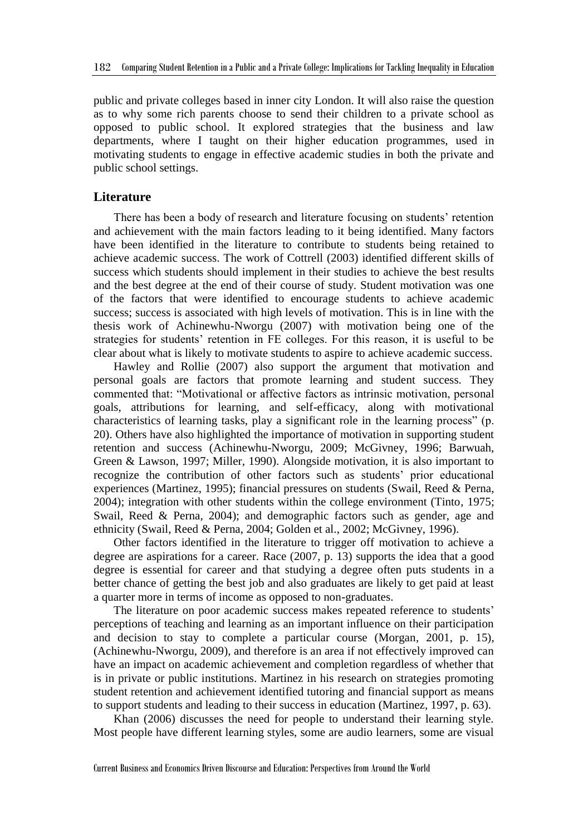public and private colleges based in inner city London. It will also raise the question as to why some rich parents choose to send their children to a private school as opposed to public school. It explored strategies that the business and law departments, where I taught on their higher education programmes, used in motivating students to engage in effective academic studies in both the private and public school settings.

#### **Literature**

There has been a body of research and literature focusing on students' retention and achievement with the main factors leading to it being identified. Many factors have been identified in the literature to contribute to students being retained to achieve academic success. The work of Cottrell (2003) identified different skills of success which students should implement in their studies to achieve the best results and the best degree at the end of their course of study. Student motivation was one of the factors that were identified to encourage students to achieve academic success; success is associated with high levels of motivation. This is in line with the thesis work of Achinewhu-Nworgu (2007) with motivation being one of the strategies for students' retention in FE colleges. For this reason, it is useful to be clear about what is likely to motivate students to aspire to achieve academic success.

Hawley and Rollie (2007) also support the argument that motivation and personal goals are factors that promote learning and student success. They commented that: "Motivational or affective factors as intrinsic motivation, personal goals, attributions for learning, and self-efficacy, along with motivational characteristics of learning tasks, play a significant role in the learning process" (p. 20). Others have also highlighted the importance of motivation in supporting student retention and success (Achinewhu-Nworgu, 2009; McGivney, 1996; Barwuah, Green & Lawson, 1997; Miller, 1990). Alongside motivation, it is also important to recognize the contribution of other factors such as students' prior educational experiences (Martinez, 1995); financial pressures on students (Swail, Reed & Perna, 2004); integration with other students within the college environment (Tinto, 1975; Swail, Reed & Perna, 2004); and demographic factors such as gender, age and ethnicity (Swail, Reed & Perna, 2004; Golden et al., 2002; McGivney, 1996).

Other factors identified in the literature to trigger off motivation to achieve a degree are aspirations for a career. Race (2007, p. 13) supports the idea that a good degree is essential for career and that studying a degree often puts students in a better chance of getting the best job and also graduates are likely to get paid at least a quarter more in terms of income as opposed to non-graduates.

The literature on poor academic success makes repeated reference to students' perceptions of teaching and learning as an important influence on their participation and decision to stay to complete a particular course (Morgan, 2001, p. 15), (Achinewhu-Nworgu, 2009), and therefore is an area if not effectively improved can have an impact on academic achievement and completion regardless of whether that is in private or public institutions. Martinez in his research on strategies promoting student retention and achievement identified tutoring and financial support as means to support students and leading to their success in education (Martinez, 1997, p. 63).

Khan (2006) discusses the need for people to understand their learning style. Most people have different learning styles, some are audio learners, some are visual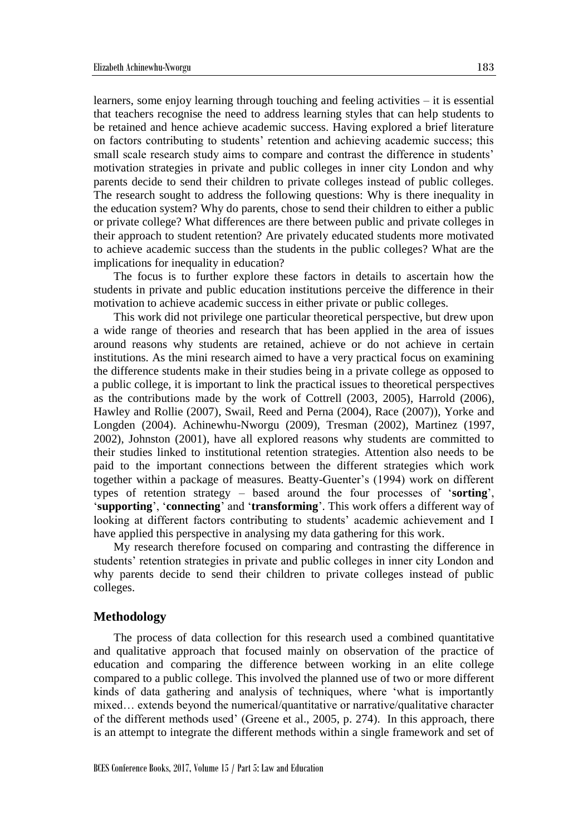learners, some enjoy learning through touching and feeling activities – it is essential that teachers recognise the need to address learning styles that can help students to be retained and hence achieve academic success. Having explored a brief literature on factors contributing to students' retention and achieving academic success; this small scale research study aims to compare and contrast the difference in students' motivation strategies in private and public colleges in inner city London and why parents decide to send their children to private colleges instead of public colleges. The research sought to address the following questions: Why is there inequality in the education system? Why do parents, chose to send their children to either a public or private college? What differences are there between public and private colleges in their approach to student retention? Are privately educated students more motivated to achieve academic success than the students in the public colleges? What are the implications for inequality in education?

The focus is to further explore these factors in details to ascertain how the students in private and public education institutions perceive the difference in their motivation to achieve academic success in either private or public colleges.

This work did not privilege one particular theoretical perspective, but drew upon a wide range of theories and research that has been applied in the area of issues around reasons why students are retained, achieve or do not achieve in certain institutions. As the mini research aimed to have a very practical focus on examining the difference students make in their studies being in a private college as opposed to a public college, it is important to link the practical issues to theoretical perspectives as the contributions made by the work of Cottrell (2003, 2005), Harrold (2006), Hawley and Rollie (2007), Swail, Reed and Perna (2004), Race (2007)), Yorke and Longden (2004). Achinewhu-Nworgu (2009), Tresman (2002), Martinez (1997, 2002), Johnston (2001), have all explored reasons why students are committed to their studies linked to institutional retention strategies. Attention also needs to be paid to the important connections between the different strategies which work together within a package of measures. Beatty-Guenter's (1994) work on different types of retention strategy – based around the four processes of '**sorting**', '**supporting**', '**connecting**' and '**transforming**'. This work offers a different way of looking at different factors contributing to students' academic achievement and I have applied this perspective in analysing my data gathering for this work.

My research therefore focused on comparing and contrasting the difference in students' retention strategies in private and public colleges in inner city London and why parents decide to send their children to private colleges instead of public colleges.

#### **Methodology**

The process of data collection for this research used a combined quantitative and qualitative approach that focused mainly on observation of the practice of education and comparing the difference between working in an elite college compared to a public college. This involved the planned use of two or more different kinds of data gathering and analysis of techniques, where 'what is importantly mixed… extends beyond the numerical/quantitative or narrative/qualitative character of the different methods used' (Greene et al., 2005, p. 274). In this approach, there is an attempt to integrate the different methods within a single framework and set of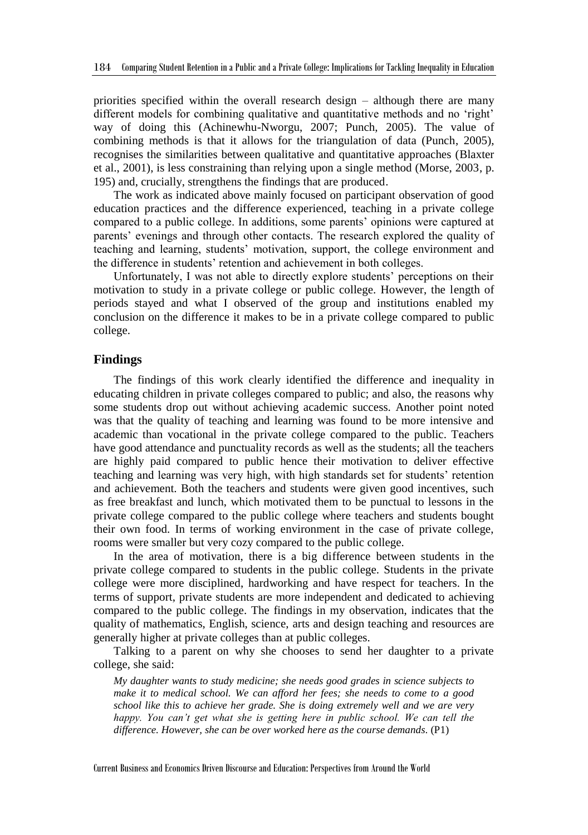priorities specified within the overall research design – although there are many different models for combining qualitative and quantitative methods and no 'right' way of doing this (Achinewhu-Nworgu, 2007; Punch, 2005). The value of combining methods is that it allows for the triangulation of data (Punch, 2005), recognises the similarities between qualitative and quantitative approaches (Blaxter et al., 2001), is less constraining than relying upon a single method (Morse, 2003, p. 195) and, crucially, strengthens the findings that are produced.

The work as indicated above mainly focused on participant observation of good education practices and the difference experienced, teaching in a private college compared to a public college. In additions, some parents' opinions were captured at parents' evenings and through other contacts. The research explored the quality of teaching and learning, students' motivation, support, the college environment and the difference in students' retention and achievement in both colleges.

Unfortunately, I was not able to directly explore students' perceptions on their motivation to study in a private college or public college. However, the length of periods stayed and what I observed of the group and institutions enabled my conclusion on the difference it makes to be in a private college compared to public college.

#### **Findings**

The findings of this work clearly identified the difference and inequality in educating children in private colleges compared to public; and also, the reasons why some students drop out without achieving academic success. Another point noted was that the quality of teaching and learning was found to be more intensive and academic than vocational in the private college compared to the public. Teachers have good attendance and punctuality records as well as the students; all the teachers are highly paid compared to public hence their motivation to deliver effective teaching and learning was very high, with high standards set for students' retention and achievement. Both the teachers and students were given good incentives, such as free breakfast and lunch, which motivated them to be punctual to lessons in the private college compared to the public college where teachers and students bought their own food. In terms of working environment in the case of private college, rooms were smaller but very cozy compared to the public college.

In the area of motivation, there is a big difference between students in the private college compared to students in the public college. Students in the private college were more disciplined, hardworking and have respect for teachers. In the terms of support, private students are more independent and dedicated to achieving compared to the public college. The findings in my observation, indicates that the quality of mathematics, English, science, arts and design teaching and resources are generally higher at private colleges than at public colleges.

Talking to a parent on why she chooses to send her daughter to a private college, she said:

*My daughter wants to study medicine; she needs good grades in science subjects to make it to medical school. We can afford her fees; she needs to come to a good school like this to achieve her grade. She is doing extremely well and we are very happy. You can't get what she is getting here in public school. We can tell the difference. However, she can be over worked here as the course demands.* (P1)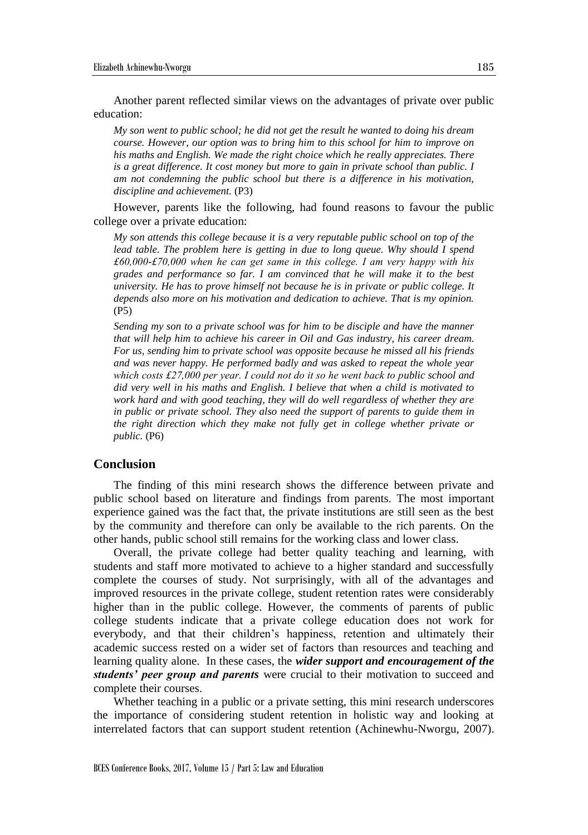Another parent reflected similar views on the advantages of private over public education:

*My son went to public school; he did not get the result he wanted to doing his dream course. However, our option was to bring him to this school for him to improve on his maths and English. We made the right choice which he really appreciates. There is a great difference. It cost money but more to gain in private school than public. I am not condemning the public school but there is a difference in his motivation, discipline and achievement.* (P3)

However, parents like the following, had found reasons to favour the public college over a private education:

*My son attends this college because it is a very reputable public school on top of the lead table. The problem here is getting in due to long queue. Why should I spend £60,000-£70,000 when he can get same in this college. I am very happy with his grades and performance so far. I am convinced that he will make it to the best university. He has to prove himself not because he is in private or public college. It depends also more on his motivation and dedication to achieve. That is my opinion.*  (P5)

*Sending my son to a private school was for him to be disciple and have the manner that will help him to achieve his career in Oil and Gas industry, his career dream. For us, sending him to private school was opposite because he missed all his friends and was never happy. He performed badly and was asked to repeat the whole year which costs £27,000 per year. I could not do it so he went back to public school and did very well in his maths and English. I believe that when a child is motivated to work hard and with good teaching, they will do well regardless of whether they are in public or private school. They also need the support of parents to guide them in the right direction which they make not fully get in college whether private or public.* (P6)

#### **Conclusion**

The finding of this mini research shows the difference between private and public school based on literature and findings from parents. The most important experience gained was the fact that, the private institutions are still seen as the best by the community and therefore can only be available to the rich parents. On the other hands, public school still remains for the working class and lower class.

Overall, the private college had better quality teaching and learning, with students and staff more motivated to achieve to a higher standard and successfully complete the courses of study. Not surprisingly, with all of the advantages and improved resources in the private college, student retention rates were considerably higher than in the public college. However, the comments of parents of public college students indicate that a private college education does not work for everybody, and that their children's happiness, retention and ultimately their academic success rested on a wider set of factors than resources and teaching and learning quality alone. In these cases, the *wider support and encouragement of the students' peer group and parents* were crucial to their motivation to succeed and complete their courses.

Whether teaching in a public or a private setting, this mini research underscores the importance of considering student retention in holistic way and looking at interrelated factors that can support student retention (Achinewhu-Nworgu, 2007).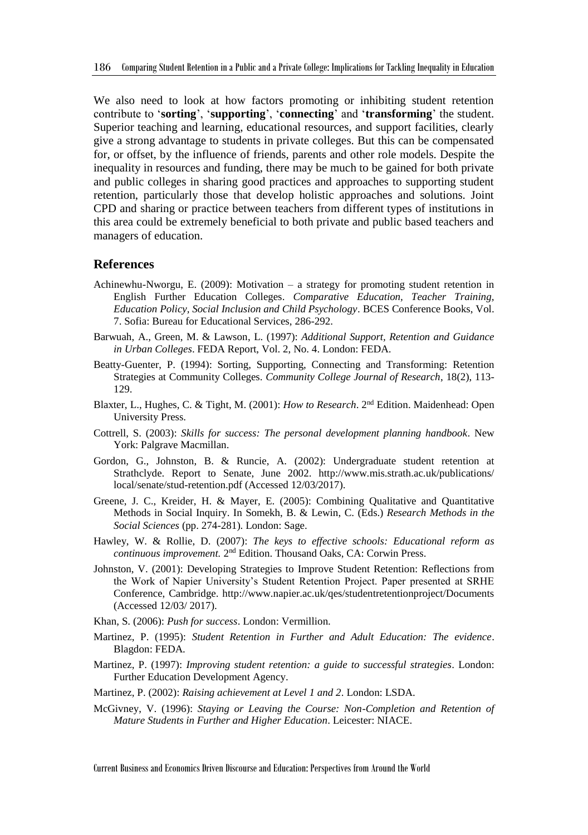We also need to look at how factors promoting or inhibiting student retention contribute to '**sorting**', '**supporting**', '**connecting**' and '**transforming**' the student. Superior teaching and learning, educational resources, and support facilities, clearly give a strong advantage to students in private colleges. But this can be compensated for, or offset, by the influence of friends, parents and other role models. Despite the inequality in resources and funding, there may be much to be gained for both private and public colleges in sharing good practices and approaches to supporting student retention, particularly those that develop holistic approaches and solutions. Joint CPD and sharing or practice between teachers from different types of institutions in this area could be extremely beneficial to both private and public based teachers and managers of education.

#### **References**

- Achinewhu-Nworgu, E. (2009): Motivation a strategy for promoting student retention in English Further Education Colleges. *Comparative Education, Teacher Training, Education Policy, Social Inclusion and Child Psychology*. BCES Conference Books, Vol. 7. Sofia: Bureau for Educational Services, 286-292.
- Barwuah, A., Green, M. & Lawson, L. (1997): *Additional Support, Retention and Guidance in Urban Colleges*. FEDA Report, Vol. 2, No. 4. London: FEDA.
- Beatty-Guenter, P. (1994): Sorting, Supporting, Connecting and Transforming: Retention Strategies at Community Colleges. *Community College Journal of Research*, 18(2), 113- 129.
- Blaxter, L., Hughes, C. & Tight, M. (2001): *How to Research*. 2<sup>nd</sup> Edition. Maidenhead: Open University Press.
- Cottrell, S. (2003): *Skills for success: The personal development planning handbook*. New York: Palgrave Macmillan.
- Gordon, G., Johnston, B. & Runcie, A. (2002): Undergraduate student retention at Strathclyde. Report to Senate, June 2002. http://www.mis.strath.ac.uk/publications/ local/senate/stud-retention.pdf (Accessed 12/03/2017).
- Greene, J. C., Kreider, H. & Mayer, E. (2005): Combining Qualitative and Quantitative Methods in Social Inquiry. In Somekh, B. & Lewin, C. (Eds.) *Research Methods in the Social Sciences* (pp. 274-281). London: Sage.
- Hawley, W. & Rollie, D. (2007): *The keys to effective schools: Educational reform as*  continuous improvement. 2<sup>nd</sup> Edition. Thousand Oaks, CA: Corwin Press.
- Johnston, V. (2001): Developing Strategies to Improve Student Retention: Reflections from the Work of Napier University's Student Retention Project. Paper presented at SRHE Conference, Cambridge. http://www.napier.ac.uk/qes/studentretentionproject/Documents (Accessed 12/03/ 2017).
- Khan, S. (2006): *Push for success*. London: Vermillion.
- Martinez, P. (1995): *Student Retention in Further and Adult Education: The evidence*. Blagdon: FEDA.
- Martinez, P. (1997): *Improving student retention: a guide to successful strategies*. London: Further Education Development Agency.
- Martinez, P. (2002): *Raising achievement at Level 1 and 2*. London: LSDA.
- McGivney, V. (1996): *Staying or Leaving the Course: Non-Completion and Retention of Mature Students in Further and Higher Education*. Leicester: NIACE.

Current Business and Economics Driven Discourse and Education: Perspectives from Around the World